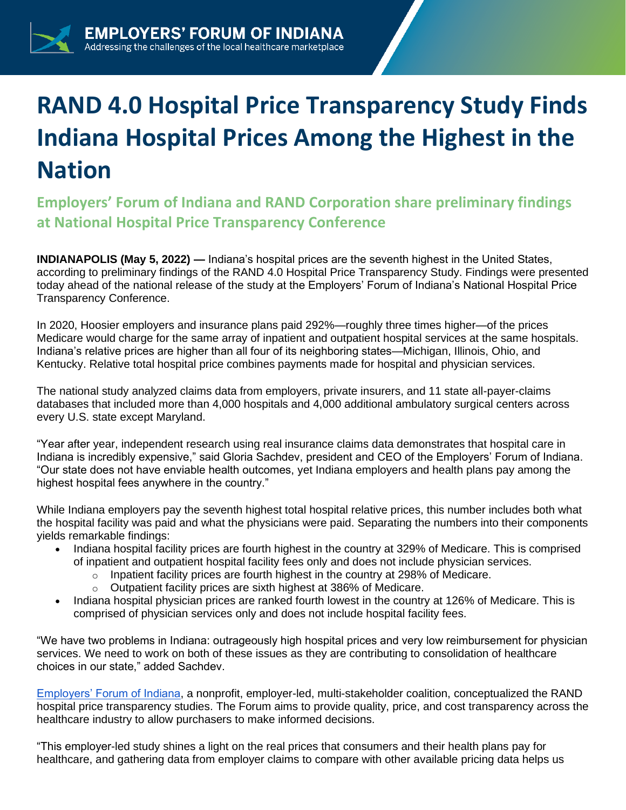## **RAND 4.0 Hospital Price Transparency Study Finds Indiana Hospital Prices Among the Highest in the Nation**

**Employers' Forum of Indiana and RAND Corporation share preliminary findings at National Hospital Price Transparency Conference** 

**INDIANAPOLIS (May 5, 2022) —** Indiana's hospital prices are the seventh highest in the United States, according to preliminary findings of the RAND 4.0 Hospital Price Transparency Study. Findings were presented today ahead of the national release of the study at the Employers' Forum of Indiana's National Hospital Price Transparency Conference.

In 2020, Hoosier employers and insurance plans paid 292%—roughly three times higher—of the prices Medicare would charge for the same array of inpatient and outpatient hospital services at the same hospitals. Indiana's relative prices are higher than all four of its neighboring states—Michigan, Illinois, Ohio, and Kentucky. Relative total hospital price combines payments made for hospital and physician services.

The national study analyzed claims data from employers, private insurers, and 11 state all-payer-claims databases that included more than 4,000 hospitals and 4,000 additional ambulatory surgical centers across every U.S. state except Maryland.

"Year after year, independent research using real insurance claims data demonstrates that hospital care in Indiana is incredibly expensive," said Gloria Sachdev, president and CEO of the Employers' Forum of Indiana. "Our state does not have enviable health outcomes, yet Indiana employers and health plans pay among the highest hospital fees anywhere in the country."

While Indiana employers pay the seventh highest total hospital relative prices, this number includes both what the hospital facility was paid and what the physicians were paid. Separating the numbers into their components yields remarkable findings:

- Indiana hospital facility prices are fourth highest in the country at 329% of Medicare. This is comprised of inpatient and outpatient hospital facility fees only and does not include physician services.
	- $\circ$  Inpatient facility prices are fourth highest in the country at 298% of Medicare.
	- o Outpatient facility prices are sixth highest at 386% of Medicare.
- Indiana hospital physician prices are ranked fourth lowest in the country at 126% of Medicare. This is comprised of physician services only and does not include hospital facility fees.

"We have two problems in Indiana: outrageously high hospital prices and very low reimbursement for physician services. We need to work on both of these issues as they are contributing to consolidation of healthcare choices in our state," added Sachdev.

[Employers' Forum of Indiana,](https://employersforumindiana.org/) a nonprofit, employer-led, multi-stakeholder coalition, conceptualized the RAND hospital price transparency studies. The Forum aims to provide quality, price, and cost transparency across the healthcare industry to allow purchasers to make informed decisions.

"This employer-led study shines a light on the real prices that consumers and their health plans pay for healthcare, and gathering data from employer claims to compare with other available pricing data helps us